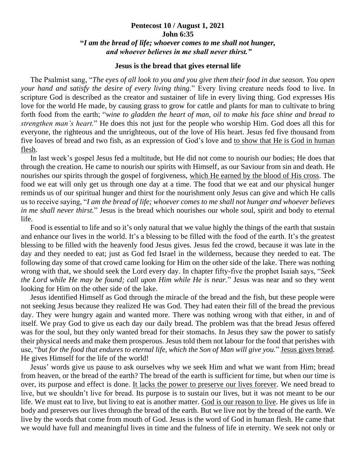## **Pentecost 10 / August 1, 2021 John 6:35 "***I am the bread of life; whoever comes to me shall not hunger, and whoever believes in me shall never thirst."*

## **Jesus is the bread that gives eternal life**

 The Psalmist sang, "*The eyes of all look to you and you give them their food in due season. You open your hand and satisfy the desire of every living thing.*" Every living creature needs food to live. In scripture God is described as the creator and sustainer of life in every living thing. God expresses His love for the world He made, by causing grass to grow for cattle and plants for man to cultivate to bring forth food from the earth; "*wine to gladden the heart of man, oil to make his face shine and bread to strengthen man's heart.*" He does this not just for the people who worship Him. God does all this for everyone, the righteous and the unrighteous, out of the love of His heart. Jesus fed five thousand from five loaves of bread and two fish, as an expression of God's love and to show that He is God in human flesh.

 In last week's gospel Jesus fed a multitude, but He did not come to nourish our bodies; He does that through the creation. He came to nourish our spirits with Himself, as our Saviour from sin and death. He nourishes our spirits through the gospel of forgiveness, which He earned by the blood of His cross. The food we eat will only get us through one day at a time. The food that we eat and our physical hunger reminds us of our spiritual hunger and thirst for the nourishment only Jesus can give and which He calls us to receive saying, "*I am the bread of life; whoever comes to me shall not hunger and whoever believes in me shall never thirst.*" Jesus is the bread which nourishes our whole soul, spirit and body to eternal life.

 Food is essential to life and so it's only natural that we value highly the things of the earth that sustain and enhance our lives in the world. It's a blessing to be filled with the food of the earth. It's the greatest blessing to be filled with the heavenly food Jesus gives. Jesus fed the crowd, because it was late in the day and they needed to eat; just as God fed Israel in the wilderness, because they needed to eat. The following day some of that crowd came looking for Him on the other side of the lake. There was nothing wrong with that, we should seek the Lord every day. In chapter fifty-five the prophet Isaiah says, "*Seek the Lord while He may be found; call upon Him while He is near.*" Jesus was near and so they went looking for Him on the other side of the lake.

 Jesus identified Himself as God through the miracle of the bread and the fish, but these people were not seeking Jesus because they realized He was God. They had eaten their fill of the bread the previous day. They were hungry again and wanted more. There was nothing wrong with that either, in and of itself. We pray God to give us each day our daily bread. The problem was that the bread Jesus offered was for the soul, but they only wanted bread for their stomachs. In Jesus they saw the power to satisfy their physical needs and make them prosperous. Jesus told them not labour for the food that perishes with use, "*but for the food that endures to eternal life, which the Son of Man will give you.*" Jesus gives bread. He gives Himself for the life of the world!

 Jesus' words give us pause to ask ourselves why we seek Him and what we want from Him; bread from heaven, or the bread of the earth? The bread of the earth is sufficient for time, but when our time is over, its purpose and effect is done. It lacks the power to preserve our lives forever. We need bread to live, but we shouldn't live for bread. Its purpose is to sustain our lives, but it was not meant to be our life. We must eat to live, but living to eat is another matter. God is our reason to live. He gives us life in body and preserves our lives through the bread of the earth. But we live not by the bread of the earth. We live by the words that come from mouth of God. Jesus is the word of God in human flesh. He came that we would have full and meaningful lives in time and the fulness of life in eternity. We seek not only or